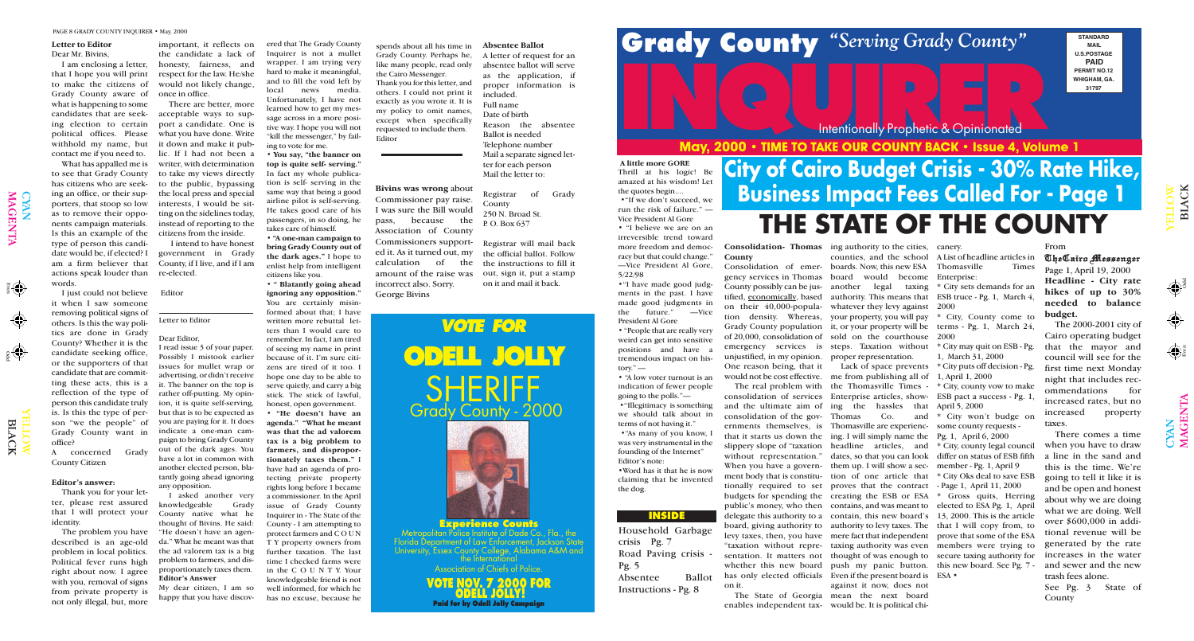Odd Even

'**(4)** 

Odd

 $\mathbf{\Omega}$ 

YE  $\exists$  $\exists$ O  $\blacktriangleright$ 

LAC

 $\overline{\mathsf{x}}$ 

YE  $\blacksquare$ L O W

 $\Xi$ 

## MGY 2000 : TIME TO TAKE OUR COUNTY BACK : ISSUE 4 WOULD **May, 2000 • TIME TO TAKE OUR COUNTY BACK • Issue 4, Volume 1**

LAC

K

 $\bigcap$ 

CYAN<br>MAGI

 $\overline{\mathbf{E}}$  ${\bf Z}$  $\blacktriangleright$ 

#### Intentionally Prophetic & Opinionated

#### **INSIDE**





**VOTE NOV. 7 2000 FOR ODELL JOLLY! Paid for by Odell Jolly Campaign**

**STANDARD MAIL U.S.POSTAGE PAID PERMIT NO.12 WHIGHAM, GA. 31797**

## **City of Cairo Budget Crisis - 30% Rate Hike, Business Impact Fees Called For - Page 1 THE STATE OF THE COUNTY**

#### **County**

unjustified, in my opinion. proper representation. One reason being, that it

consolidation of services Enterprise articles, showand the ultimate aim of ing the hassles that consolidation of the gov-Thomas Co. and ernments themselves, is Thomasville are experiencment body that is constitu-tion of one article that on it.

**Consolidation- Thomas** ing authority to the cities, Consolidation of emer-boards. Now, this new ESA Thomasville Times gency services in Thomas board would become Enterprise: County possibly can be jus-another legal taxing \* City sets demands for an tified, <u>economically,</u> based authority. This means that ESB truce - Pg. 1, March 4, on their 40,000-popula-whatever they levy against 2000 tion density. Whereas, your property, you will pay \* City, County come to Grady County population it, or your property will be terms - Pg. 1, March 24, of 20,000, consolidation of sold on the courthouse 2000 emergency services is steps. Taxation without counties, and the school A List of headline articles in

would not be cost effective. me from publishing all of 1, April 1, 2000 The real problem with the Thomasville Times that it starts us down the ing. I will simply name the Pg. 1, April 6, 2000 slippery slope of "taxation headline articles, and \* City, county legal council without representation." dates, so that you can look differ on status of ESB fifth When you have a govern- them up. I will show a sec- member - Pg. 1, April 9 tionally required to set proves that the contract - Page 1, April 11, 2000 budgets for spending the creating the ESB or ESA \* Gross quits, Herring public's money, who then contains, and was meant to elected to ESA Pg. 1, April delegate this authority to a contain, this new board's 13, 2000. This is the article board, giving authority to authority to levy taxes. The that I will copy from, to levy taxes, then, you have mere fact that independent prove that some of the ESA "taxation without repre-taxing authority was even members were trying to sentation. It matters not thought of was enough to secure taxing authority for whether this new board push my panic button. this new board. See Pg. 7 has only elected officials Even if the present board is ESA • The State of Georgia mean the next board enables independent tax-would be. It is political chi-Lack of space prevents against it now, does not

canery.

\* City may quit on ESB - Pg. 1, March 31, 2000

\* City puts off decision - Pg.

\* City, county vow to make ESB pact a success - Pg. 1, April 5, 2000

\* City won't budge on some county requests -

\* City Oks deal to save ESB

asked another very knowledgeable Grady County native what he thought of Bivins. He said: "He doesn't have an agenda." What he meant was that the ad valorem tax is a big problem to farmers, and disproportionately taxes them. **Editor's Answer**

#### **Letter to Editor**

#### Dear Mr. Bivins,

that I hope you will print to make the citizens of Grady County aware of what is happening to some candidates that are seeking election to certain political offices. Please withhold my name, but contact me if you need to.

What has appalled me is to see that Grady County has citizens who are seeking an office, or their supporters, that stoop so low as to remove their opponents campaign materials. Is this an example of the type of person this candidate would be, if elected? I am a firm believer that actions speak louder than words.

I am enclosing a letter, honesty, fairness, and important, it reflects on the candidate a lack of respect for the law. He/she would not likely change, once in office.

I just could not believe it when I saw someone removing political signs of others. Is this the way politics are done in Grady County? Whether it is the candidate seeking office, or the supporters of that candidate that are committing these acts, this is a reflection of the type of person this candidate truly is. Is this the type of person "we the people" of Grady County want in office?

A concerned Grady County Citizen

#### **Editor's answer:**

Thank you for your letter, please rest assured that I will protect your identity.

The problem you have described is an age-old problem in local politics. Political fever runs high right about now. I agree with you, removal of signs from private property is not only illegal, but, more

tory." $$ the dog.

## PAGE 8 GRADY COUNTY INQUIRER • May, 2000<br>Letter to Editor important, it reflects on ered that The Grady County spends about all his time in Absentee Ballot<br>Dear Mr. Bivins, the candidate a lack of Inquirer is not a mullet

There are better, more acceptable ways to support a candidate. One is what you have done. Write it down and make it public. If I had not been a writer, with determination to take my views directly to the public, bypassing the local press and special interests, I would be sitting on the sidelines today, instead of reporting to the citizens from the inside.

I intend to have honest government in Grady County, if I live, and if I am re-elected.

#### Editor

#### From

TheCairo Messenger Page 1, April 19, 2000 **Headline - City rate hikes of up to 30% needed to balance budget.**

The 2000-2001 city of Cairo operating budget that the mayor and council will see for the first time next Monday night that includes recommendations for increased rates, but no increased property taxes.

There comes a time when you have to draw a line in the sand and this is the time. We're going to tell it like it is and be open and honest about why we are doing what we are doing. Well over \$600,000 in additional revenue will be generated by the rate increases in the water and sewer and the new trash fees alone.

See Pg. 3 State of County

 $\bigoplus$ 

#### Letter to Editor

#### Dear Editor,

I read issue 3 of your paper. Possibly I mistook earlier issues for mullet wrap or advertising, or didn't receive it. The banner on the top is rather off-putting. My opinion, it is quite self-serving, but that is to be expected as you are paying for it. It does indicate a one-man campaign to bring Grady County out of the dark ages. You have a lot in common with another elected person, blatantly going ahead ignoring any opposition.

My dear citizen, I am so happy that you have discovered that The Grady County Inquirer is not a mullet wrapper. I am trying very hard to make it meaningful, and to fill the void left by local news media. Unfortunately, I have not learned how to get my message across in a more positive way. I hope you will not "kill the messenger," by failing to vote for me.

• **You say, "the banner on top is quite self- serving."** In fact my whole publication is self- serving in the same way that being a good airline pilot is self-serving. He takes good care of his passengers, in so doing, he takes care of himself.

**• "A one-man campaign to bring Grady County out of the dark ages."** I hope to enlist help from intelligent citizens like you.

**• " Blatantly going ahead ignoring any opposition."** You are certainly misinformed about that; I have written more rebuttal letters than I would care to remember. In fact, I am tired of seeing my name in print because of it. I'm sure citizens are tired of it too. I hope one day to be able to serve quietly, and carry a big stick. The stick of lawful, honest, open government.

**• "He doesn't have an agenda." "What he meant was that the ad valorem tax is a big problem to farmers, and disproportionately taxes them."** I have had an agenda of protecting private property rights long before I became a commissioner. In the April issue of Grady County Inquirer in - The State of the County - I am attempting to protect farmers and C O U N T Y property owners from further taxation. The last time I checked farms were in the C O U N T Y. Your knowledgeable friend is not well informed, for which he has no excuse, because he

spends about all his time in Grady County. Perhaps he, like many people, read only the Cairo Messenger. Thank you for this letter, and others. I could not print it exactly as you wrote it. It is my policy to omit names, except when specifically requested to include them. Editor

#### **Absentee Ballot**

A letter of request for an absentee ballot will serve as the application, if proper information is included. Full name Date of birth Reason the absentee Ballot is needed Telephone number Mail a separate signed letter for each person Mail the letter to:

Registrar of Grady County 250 N. Broad St. P. O. Box 637

Registrar will mail back the official ballot. Follow the instructions to fill it out, sign it, put a stamp on it and mail it back.

> Household Garbage crisis Pg. 7 Road Paving crisis - Absentee Ballot Instructions - Pg. 8

# Pg. 5

#### **A little more GORE**

Thrill at his logic! Be amazed at his wisdom! Let the quotes begin....

•"If we don't succeed, we run the risk of failure." — Vice President Al Gore

• "I believe we are on an irreversible trend toward more freedom and democracy but that could change." —Vice President Al Gore, 5/22/98

•"I have made good judgments in the past. I have made good judgments in<br>the future." —Vice the future." President Al Gore

• "People that are really very weird can get into sensitive positions and have a tremendous impact on his-

• "A low voter turnout is an indication of fewer people going to the polls."— •"Illegitimacy is something we should talk about in terms of not having it." •"As many of you know, I was very instrumental in the founding of the Internet" Editor's note:

•Word has it that he is now claiming that he invented

**Bivins was wrong** about Commissioner pay raise. I was sure the Bill would pass, because the Association of County Commissioners supported it. As it turned out, my calculation of the amount of the raise was incorrect also. Sorry. George Bivins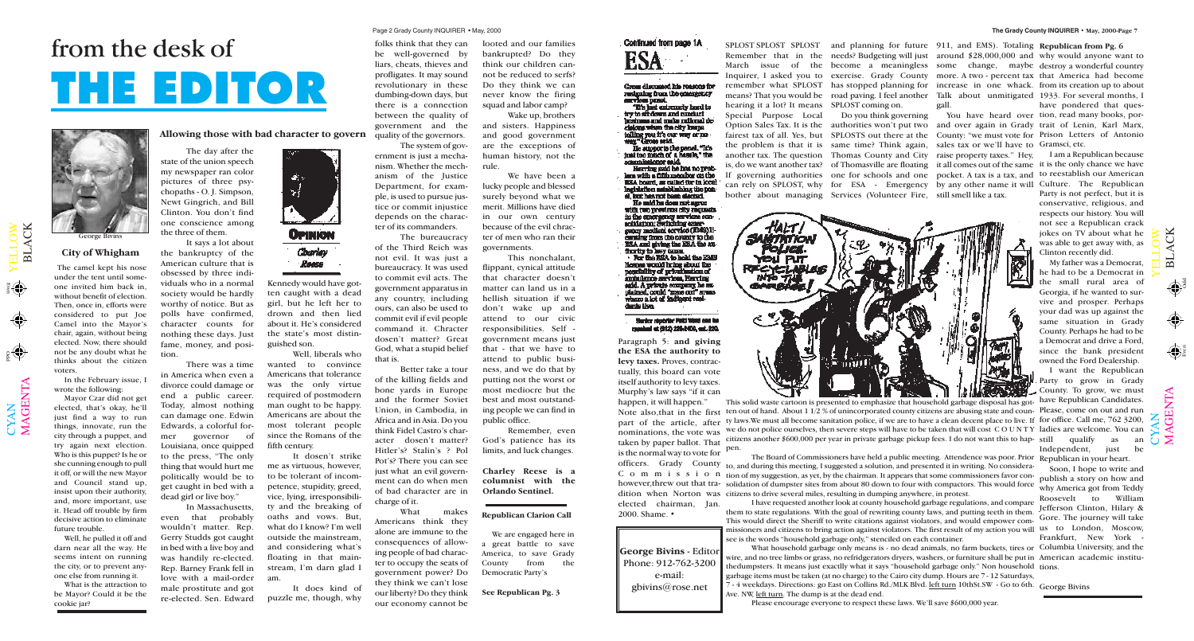M $\blacktriangleleft$ G  $\Xi$  $\bm{\mathsf{Z}}$  $\boldsymbol{\mathsf{\Xi}}$ 

 $\mathbf{\Xi}$  $\overline{\phantom{0}}$  $\blacktriangleleft$  $\bigcup$ K

 $\mathbf{\Omega}$  $\overline{\phantom{0}}$  $\blacktriangleleft$ C K

 $\mathbf{\Sigma}% _{T}=\mathbf{\Sigma}_{T}\times\mathbf{2}^{T}$  $\blacktriangleleft$ G  $\bf \Xi$  $\bm{\mathsf{Z}}$  $\boldsymbol{\Xi}$ 

Odd

Even

Odd Even

**George Bivins** - Editor Phone: 912-762-3200 e-mail: gbivins@rose.net

## from the desk of **THE EDITOR**



Paragraph 5: **and giving the ESA the authority to levy taxes.** Proves, contractually, this board can vote itself authority to levy taxes. Murphy's law says "if it can happen, it will happen."

Note also, that in the first ten out of hand. About 1 1/2 % of unincorporated county citizens are abusing state and coun- Please, come on out and run part of the article, after ty laws. We must all become sanitation police, if we are to have a clean decent place to live. If for office. Call me, 762 3200, nominations, the vote was we do not police ourselves, then severe steps will have to be taken that will cost COUNTY ladies are welcome. You can This solid waste cartoon is presented to emphasize that household garbage disposal has got-have Republican Candidates. citizens another \$600,000 per year in private garbage pickup fees. I do not want this to happen.

taken by paper ballot. That is the normal way to vote for elected chairman, Jan. 2000. Shame. •

> 7 - 4 weekdays. Directions: go East on Collins Rd./MLK Blvd. left turn 10thSt.SW - Go to 6th. George BivinsAve. NW, left turn. The dump is at the dead end.

I have requested another look at county household garbage regulations, and compare them to state regulations. With the goal of rewriting county laws, and putting teeth in them. This would direct the Sheriff to write citations against violators, and would empower commissioners and citizens to bring action against violators. The first result of my action you will us to London, Moscow, see is the words "household garbage only," stenciled on each container.

What household garbage only means is - no dead animals, no farm buckets, tires or Columbia University, and the wire, and no tree limbs or grass, no refridgerators dryers, washers, or furniture shall be put in American academic instituthedumpsters. It means just exactlly what it says "household garbage only." Non household tions. garbage items must be taken (at no charge) to the Cairo city dump. Hours are 7 - 12 Saturdays,

Please encourage everyone to respect these laws. We'll save \$600,000 year.

The camel kept his nose under the tent until someone invited him back in, without benefit of election. Then, once in, efforts were considered to put Joe Camel into the Mayor's chair, again, without being elected. Now, there should not be any doubt what he thinks about the citizen voters.

In the February issue, I wrote the following:

Mayor Czar did not get elected, that's okay, he'll just find a way to run things, innovate, run the city through a puppet, and try again next election. Who is this puppet? Is he or she cunning enough to pull it off, or will the new Mayor and Council stand up, insist upon their authority, and, more important, use it. Head off trouble by firm decisive action to eliminate future trouble.

 $\bigcup$  $\bm{\mathsf{X}}$  $\mathsf{Z}_\mathsf{I}$ 

 $\blacktriangleright$  $\blacksquare$  $\overline{\phantom{0}}$  $\overline{\phantom{0}}$  $\bigcirc$  $\geqslant$ 

 $\langle \spadesuit \rangle$ 

Well, he pulled it off and darn near all the way. He seems intent on running the city, or to prevent anyone else from running it.

What is the attraction to be Mayor? Could it be the cookie jar?

#### **City of Whigham**

bother about managing Services (Volunteer Fire, still smell like a tax.

gall.



SPLOST SPLOST SPLOST and planning for future 911, and EMS). Totaling Republican from Pg. 6 Remember that in the needs? Budgeting will just around \$28,000,000 and why would anyone want to March issue of the become a meaningless some change, maybe destroy a wonderful country Inquirer, I asked you to exercise. Grady County more. A two - percent tax that America had become remember what SPLOST has stopped planning for increase in one whack. from its creation up to about means? That you would be road paving. I feel another Talk about unmitigated 1933. For several months, I

**Allowing those with bad character to govern**

The day after the state of the union speech my newspaper ran color pictures of three psychopaths - O. J. Simpson, Newt Gingrich, and Bill Clinton. You don't find one conscience among the three of them.

> officers. Grady County to, and during this meeting, I suggested a solution, and presented it in writing. No considera-C o m m i s s i o n tion of my suggestion, as yet, by the chairman. It appears that some commissioners favor conhowever,threw out that tra-solidation of dumpster sites from about 80 down to four with compactors. This would force dition when Norton was citizens to drive several miles, resulting in dumping anywhere, in protest. The Board of Commissioners have held a public meeting. Attendence was poor. Prior Republican in your heart.

It says a lot about the bankruptcy of the American culture that is obsessed by three individuals who in a normal society would be hardly worthy of notice. But as polls have confirmed, character counts for nothing these days. Just fame, money, and position.

There was a time in America when even a divorce could damage or end a public career. Today, almost nothing can damage one. Edwin Edwards, a colorful former governor of Louisiana, once quipped to the press, "The only thing that would hurt me politically would be to get caught in bed with a dead girl or live boy."

In Massachusetts, even that probably wouldn't matter. Rep. Gerry Studds got caught in bed with a live boy and was handily re-elected. Rep. Barney Frank fell in love with a mail-order male prostitute and got re-elected. Sen. Edward



Kennedy would have gotten caught with a dead girl, but he left her to drown and then lied about it. He's considered the state's most distinguished son.

Well, liberals who wanted to convince Americans that tolerance was the only virtue required of postmodern man ought to be happy. Americans are about the most tolerant people since the Romans of the fifth century.

It dosen't strike me as virtuous, however, to be tolerant of incompetence, stupidity, greed, vice, lying, irresponsibility and the breaking of oaths and vows. But, what do I know? I'm well outside the mainstream, and considering what's floating in that mainstream, I'm darn glad I am.

Option Sales Tax. It is the authorities won't put two and over again in Grady trait of Lenin, Karl Marx, fairest tax of all. Yes, but SPLOSTS out there at the County: "we must vote for Prison Letters of Antonio Do you think governing You have heard over tion, read many books, porhave pondered that ques-

hearing it a lot? It means SPLOST coming on. Special Purpose Local the problem is that it is same time? Think again, sales tax or we'll have to Gramsci, etc.

It does kind of puzzle me, though, why

folks think that they can be well-governed by liars, cheats, thieves and profligates. It may sound revolutionary in these dumbing-down days, but there is a connection between the quality of government and the quality of the governors.

> another tax. The question Thomas County and City raise property taxes." Hey, I am a Republican because is, do we want another tax? of Thomasville are floating it all comes out of the same it is the only chance we have If governing authorities one for schools and one pocket. A tax is a tax, and to reestablish our American can rely on SPLOST, why for ESA - Emergency by any other name it will Culture. The Republican Party is not perfect, but it is conservative, religious, and respects our history. You will not see a Republican crack jokes on TV about what he was able to get away with, as Clinton recently did.

The system of government is just a mechanism. Whether the mechanism of the Justice Department, for example, is used to pursue justice or commit injustice depends on the character of its commanders.

The bureaucracy of the Third Reich was not evil. It was just a bureaucracy. It was used to commit evil acts. The government apparatus in any country, including ours, can also be used to commit evil if evil people command it. Chracter dosen't matter? Great God, what a stupid belief that is.

Better take a tour of the killing fields and bone yards in Europe and the former Soviet Union, in Cambodia, in Africa and in Asia. Do you think Fidel Castro's character dosen't matter? Hitler's? Stalin's ? Pol Pot's? There you can see just what an evil government can do when men of bad character are in charge of it.

What makes Americans think they alone are immune to the consequences of allowing people of bad character to occupy the seats of government power? Do they think we can't lose our liberty? Do they think our economy cannot be

looted and our families bankrupted? Do they think our children cannot be reduced to serfs? Do they think we can never know the firing squad and labor camp?

Wake up, brothers and sisters. Happiness and good government are the exceptions of human history, not the rule.

We have been a lucky people and blessed surely beyond what we merit. Millions have died in our own century because of the evil chracter of men who ran their governments.

This nonchalant, flippant, cynical attitude that character doesn't matter can land us in a hellish situation if we don't wake up and attend to our civic responsibilities. Self government means just that - that we have to attend to public business, and we do that by putting not the worst or most mediocre but the best and most outstanding people we can find in public office.

Remember, even God's patience has its limits, and luck changes.

**Charley Reese is a columnist with the Orlando Sentinel.**

George Bivins

**Republican Clarion Call**

We are engaged here in a great battle to save America, to save Grady County from the Democratic Party's

**See Republican Pg. 3**



#### Groun discussed his reasons for resigning from the emergency<br>environ punel.

"It's just entremely hard to try to sit down and conduct estness and make rational decloicing when the city keeps tolling you it's our way or no wax" Gross said.

He supports the panel. "It's<br>just too much of a heade," the <u>ammissioner seld.</u>

Herring said he has no problara with a fifth member on the **ESA board**, as called for in local Ingislation astablishing the panel, but hes not bash elected. He mid he does not agree with two previous city request in the smergency as vices con-<br>solidation: Switching entergunny medical service (EMS) licarning from the county to the<br>ESA and giving the ESA the su-<br>finality to lavy tames.<br>For the ESA to hold the ESB

Hespes would bring about the<br>possibility of privathesian of ambulance services, Herring<br>said. A private company he explained, could "gone out" areas where a lot of indigent reeldarda Live.

#### Suntor reporter Politicians can be meshal at (912) 226-2400, ant. 220.

My father was a Democrat, he had to be a Democrat in the small rural area of Georgia, if he wanted to survive and prosper. Perhaps your dad was up against the same situation in Grady County. Perhaps he had to be a Democrat and drive a Ford, since the bank president owned the Ford Dealership.

I want the Republican Party to grow in Grady County. To grow, we must qualify as an Independent, just be

 $\mathbf{\cup}$  $\bm{\mathsf{X}}$  $\mathsf{Z}$ 

 $\blacktriangleright$  $\blacksquare$  $\overline{\phantom{0}}$  $\overline{\phantom{0}}$  $\bigcirc$  $\geqslant$ 

Soon, I hope to write and publish a story on how and why America got from Teddy Roosevelt to William Jefferson Clinton, Hilary & Gore. The journey will take Frankfurt, New York -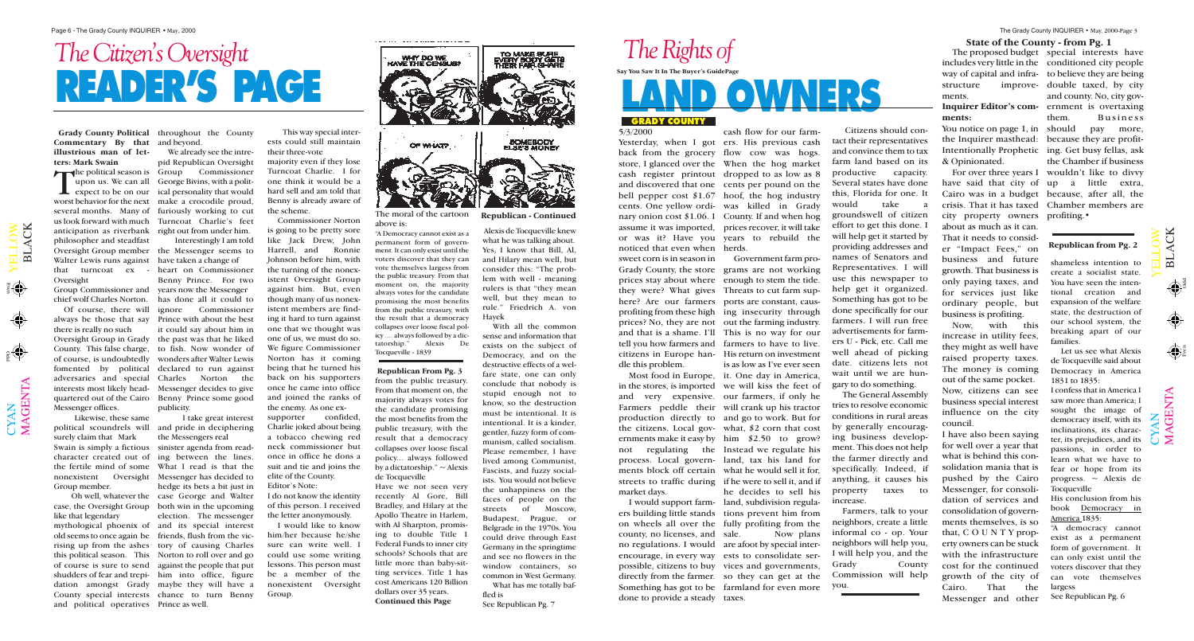M $\blacktriangleleft$ G  $\Xi$  $\bm{\mathsf{Z}}$  $\boldsymbol{\mathsf{\Xi}}$ 

 $\mathbf{\Xi}$  $\overline{\phantom{0}}$  $\blacktriangleleft$ C K

 $\bigoplus$ 

 $\bigoplus$ 

 $\mathbf{\Xi}$  $\overline{\phantom{0}}$  $\blacktriangleleft$ C K

 $\mathbf{\Sigma}% _{T}=\mathbf{\Sigma}_{T}\times\mathbf{2}^{T}$  $\blacktriangleleft$ G  $\bf \Xi$  $\bm{\mathsf{Z}}$  $\boldsymbol{\Xi}$ 



## **READER'S PAGE** The Citizen's Oversight The Proposed budget and the proposed budget of the proposed budget and the proposed budget of the proposed budget of the proposed budget of the proposed budget of the proposed budget of the proposed

Odd Even

includes very little in the conditioned city people way of capital and infra-to believe they are being structure improve-double taxed, by city ments.

#### **ments:**

You notice on page 1, in should pay more, the Inquirer masthead: because they are profit-Intentionally Prophetic ing. Get busy fellas, ask & Opinionated.

city property owners profiting.• about as much as it can. That it needs to consider "Impact Fees," on business and future growth. That business is only paying taxes, and for services just like ordinary people, but business is profiting.

upon us. We can all George Bivins, with a politexpect to be on our ical personality that would We already see the intrepid Republican Oversight Commissioner

> Now, with this increase in utility fees, they might as well have raised property taxes. The money is coming out of the same pocket. Now, citizens can see business special interest influence on the city council.

**Inquirer Editor's com-**ernment is overtaxing For over three years I wouldn't like to divvy have said that city of up a little extra, Cairo was in a budget because, after all, the crisis. That it has taxed Chamber members are The proposed budget special interests have and county. No, city govthem. Business the Chamber if business

 $\blacktriangleright$  the political season is Group worst behavior for the next make a crocodile proud, several months. Many of furiously working to cut us look forward with much Turncoat Charlie's feet anticipation as riverbank right out from under him. philosopher and steadfast Oversight Group member the Messenger seems to Walter Lewis runs against have taken a change of that turncoat ex - Oversight

> I have also been saying for well over a year that what is behind this consolidation mania that is pushed by the Cairo Messenger, for consolidation of services and consolidation of governments themselves, is so that, C O U N T Y property owners can be stuck with the infrastructure cost for the continued growth of the city of Cairo. That the Messenger and other

#### **State of the County - from Pg. 1**

**Commentary By that** and beyond. **illustrious man of letters: Mark Swain**

Group Commissioner and chief wolf Charles Norton. Of course, there will

always be those that say Prince with about the best there is really no such Oversight Group in Grady County. This false charge, of course, is undoubtedly fomented by political adversaries and special interests most likely headquartered out of the Cairo Benny Prince some good Messenger offices.

**Grady County Political** throughout the County

Likewise, these same political scoundrels will surely claim that Mark Swain is simply a fictious character created out of the fertile mind of some nonexistent Group member.

 $\bigcup$  $\bm{\mathsf{X}}$  $\mathsf{Z}_\mathsf{I}$ 

 $\blacktriangleright$  $\blacksquare$  $\overline{\phantom{0}}$  $\overline{\phantom{0}}$  $\bigcirc$  $\geqslant$ 

 $\langle \spadesuit \rangle$ 

Grady County, the store grams are not working prices stay about where enough to stem the tide. they were? What gives Threats to cut farm suphere? Are our farmers ports are constant, causprofiting from these high ing insecurity through prices? No, they are not out the farming industry. and that is a shame. I'll This is no way for our tell you how farmers and farmers to have to live. citizens in Europe han-His return on investment Most food in Europe, it. One day in America, in the stores, is imported we will kiss the feet of and very expensive. our farmers, if only he Farmers peddle their will crank up his tractor production directly to and go to work. But for the citizens. Local gov-what, \$2 corn that cost ernments make it easy by him \$2.50 to grow? not regulating the Instead we regulate his process. Local govern-land, tax his land for ments block off certain what he would sell it for, streets to traffic during if he were to sell it, and if I would support farm-land, subdivision regulaers building little stands tions prevent him from on wheels all over the fully profiting from the no regulations. I would are afoot by special interencourage, in every way ests to consolidate serpossible, citizens to buy vices and governments, directly from the farmer. so they can get at the Something has got to be farmland for even more Government farm prois as low as I've ever seen he decides to sell his Now plans

Yesterday, when I got ers. His previous cash back from the grocery flow cow was hogs. store, I glanced over the When the hog market cash register printout dropped to as low as 8 and discovered that one cents per pound on the bell pepper cost \$1.67 hoof, the hog industry cents. One yellow ordi-was killed in Grady nary onion cost \$1.06. I County. If and when hog assume it was imported, prices recover, it will take or was it? Have you years to rebuild the cash flow for our farm-

Interestingly I am told

Oh well, whatever the case, the Oversight Group like that legendary mythological phoenix of and its special interest old seems to once again be friends, flush from the vicrising up from the ashes tory of causing Charles this political season. This Norton to roll over and go of course is sure to send against the people that put shudders of fear and trepi-him into office, figure dation amongst Grady maybe they will have a County special interests chance to turn Benny and political operatives Prince as well.

heart on Commissioner Benny Prince. For two years now the Messenger has done all it could to ignore Commissioner it could say about him in the past was that he liked to fish. Now wonder of wonders after Walter Lewis declared to run against Charles Norton the Messenger decides to give publicity.

I take great interest and pride in deciphering the Messengers real sinister agenda from reading between the lines. What I read is that the Oversight Messenger has decided to hedge its bets a bit just in case George and Walter both win in the upcoming election. The messenger

This way special interests could still maintain their three-vote

majority even if they lose Turncoat Charlie. I for one think it would be a hard sell and am told that Benny is already aware of the scheme.

> I confess that in America I saw more than America; I sought the image of democracy itself, with its inclinations, its character, its prejudices, and its passions, in order to learn what we have to fear or hope from its progress.  $\sim$  Alexis de **Tocqueville**

 $\mathbf{\cup}$  $\bm{\mathsf{X}}$  $\mathsf{Z}$ 

 $\blacktriangleright$  $\blacksquare$  $\overline{\phantom{0}}$  $\overline{\phantom{0}}$  $\bigcirc$  $\geqslant$ 

Commissioner Norton is going to be pretty sore like Jack Drew, John Harrell, and Ronnie Johnson before him, with the turning of the nonexistent Oversight Group against him. But, even though many of us nonexistent members are finding it hard to turn against one that we thought was one of us, we must do so. We figure Commissioner Norton has it coming being that he turned his back on his supporters once he came into office and joined the ranks of the enemy. As one exsupporter confided, Charlie joked about being a tobacco chewing red neck commissioner but once in office he dons a suit and tie and joins the elite of the County. Editor's Note:

I do not know the identity of this person. I received the letter anonymously.

I would like to know him/her because he/she sure can write well. I could use some writing lessons. This person must be a member of the nonexistent Oversight Group.

5/3/2000

noticed that even when herds. sweet corn is in season in dle this problem.

market days.

county, no licenses, and done to provide a steady taxes.

Citizens should contact their representatives and convince them to tax farm land based on its productive capacity. Several states have done this, Florida for one. It would take a groundswell of citizen effort to get this done. I will help get it started by providing addresses and names of Senators and Representatives. I will use this newspaper to help get it organized. Something has got to be done specifically for our farmers. I will run free advertisements for farmers U - Pick, etc. Call me well ahead of picking date. citizens lets not wait until we are hungary to do something.

The General Assembly tries to resolve economic conditions in rural areas by generally encouraging business development. This does not help the farmer directly and specifically. Indeed, if anything, it causes his property taxes to increase.

Farmers, talk to your neighbors, create a little informal co - op. Your neighbors will help you, I will help you, and the Grady County Commission will help you.



The moral of the cartoon above is:

"A Democracy cannot exist as a permanent form of government. It can only exist until the voters discover that they can vote themselves largess from the public treasury. From that moment on, the majority always votes for the candidate promising the most benefits from the public treasury, with the result that a democracy collapses over loose fiscal policy .... always followed by a dictatorship." Alexis De Tocqueville - 1839

shameless intention to create a socialist state. You have seen the intentional creation and expansion of the welfare state, the destruction of our school system, the breaking apart of our families.

Let us see what Alexis de Tocqueville said about Democracy in America 1831 to 1835:

His conclusion from his book Democracy in America 1835:

"A democracy cannot exist as a permanent form of government. It can only exist until the voters discover that they can vote themselves largess

See Republican Pg. 6

**Republican From Pg. 3**

from the public treasury. From that moment on, the majority always votes for the candidate promising the most benefits from the public treasury, with the result that a democracy collapses over loose fiscal policy... always followed by a dictatorship."  $\sim$  Alexis de Tocqueville

Have we not seen very recently Al Gore, Bill Bradley, and Hilary at the Apollo Theatre in Harlem, with Al Sharpton, promising to double Title 1 Federal Funds to inner city schools? Schools that are little more than baby-sitting services. Title 1 has cost Americans 120 Billion dollars over 35 years. **Continued this Page**

Alexis de Tocqueville knew what he was talking about. Yes, I know that Bill, Al, and Hilary mean well, but consider this: "The problem with well - meaning rulers is that "they mean well, but they mean to rule." Friedrich A. von Hayek

With all the common sense and information that exists on the subject of Democracy, and on the destructive effects of a welfare state, one can only conclude that nobody is stupid enough not to know, so the destruction must be intentional. It is intentional. It is a kinder, gentler, fuzzy form of communism, called socialism. Please remember, I have lived among Communist, Fascists, and fuzzy socialists. You would not believe the unhappiness on the faces of people on the streets of Moscow, Budapest, Prague, or Belgrade in the 1970s. You could drive through East Germany in the springtime and see no flowers in the window containers, so common in West Germany. What has me totally baf-

fled is See Republican Pg. 7

#### **Republican from Pg. 2**